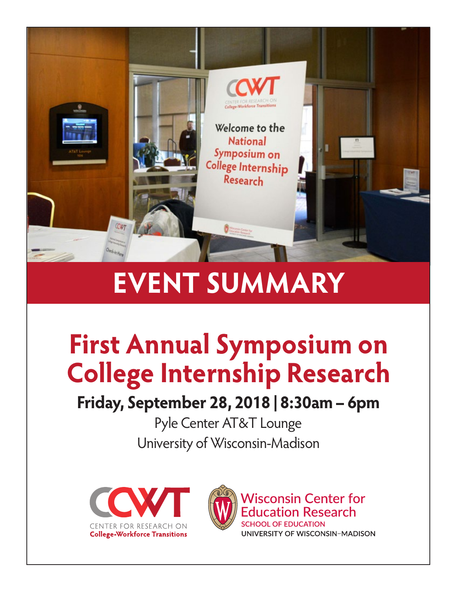

# **EVENT SUMMARY**

# **First Annual Symposium on College Internship Research**

# **Friday, September 28, 2018 | 8:30am – 6pm**

Pyle Center AT&T Lounge University of Wisconsin-Madison





**Wisconsin Center for Education Research SCHOOL OF EDUCATION** UNIVERSITY OF WISCONSIN-MADISON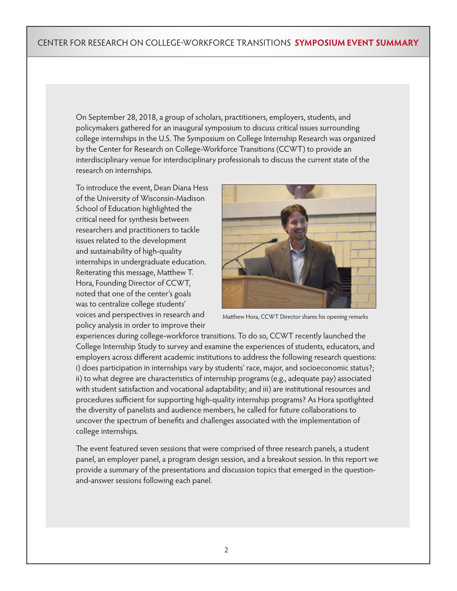On September 28, 2018, a group of scholars, practitioners, employers, students, and policymakers gathered for an inaugural symposium to discuss critical issues surrounding college internships in the U.S. The Symposium on College Internship Research was organized by the Center for Research on College-Workforce Transitions (CCWT) to provide an interdisciplinary venue for interdisciplinary professionals to discuss the current state of the research on internships.

To introduce the event, Dean Diana Hess of the University of Wisconsin-Madison School of Education highlighted the critical need for synthesis between researchers and practitioners to tackle issues related to the development and sustainability of high-quality internships in undergraduate education. Reiterating this message, Matthew T. Hora, Founding Director of CCWT, noted that one of the center's goals was to centralize college students' voices and perspectives in research and policy analysis in order to improve their



Matthew Hora, CCWT Director shares his opening remarks

experiences during college-workforce transitions. To do so, CCWT recently launched the College Internship Study to survey and examine the experiences of students, educators, and employers across different academic institutions to address the following research questions: i) does participation in internships vary by students' race, major, and socioeconomic status?; ii) to what degree are characteristics of internship programs (e.g., adequate pay) associated with student satisfaction and vocational adaptability; and iii) are institutional resources and procedures sufficient for supporting high-quality internship programs? As Hora spotlighted the diversity of panelists and audience members, he called for future collaborations to uncover the spectrum of benefits and challenges associated with the implementation of college internships.

The event featured seven sessions that were comprised of three research panels, a student panel, an employer panel, a program design session, and a breakout session. In this report we provide a summary of the presentations and discussion topics that emerged in the questionand-answer sessions following each panel.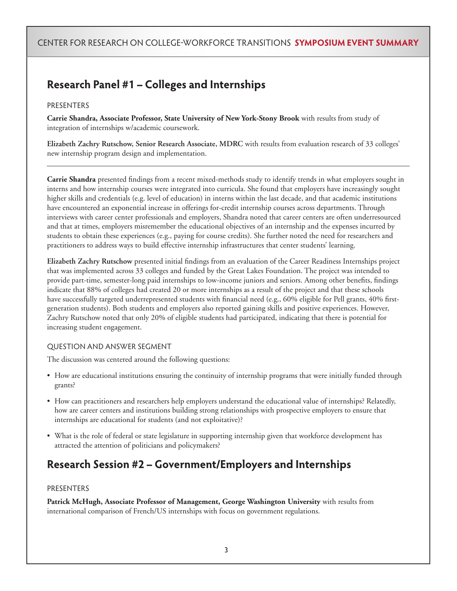# **Research Panel #1 – Colleges and Internships**

#### **PRESENTERS**

**Carrie Shandra, Associate Professor, State University of New York-Stony Brook** with results from study of integration of internships w/academic coursework.

**Elizabeth Zachry Rutschow, Senior Research Associate, MDRC** with results from evaluation research of 33 colleges' new internship program design and implementation.

**Carrie Shandra** presented findings from a recent mixed-methods study to identify trends in what employers sought in interns and how internship courses were integrated into curricula. She found that employers have increasingly sought higher skills and credentials (e.g. level of education) in interns within the last decade, and that academic institutions have encountered an exponential increase in offerings for-credit internship courses across departments. Through interviews with career center professionals and employers, Shandra noted that career centers are often underresourced and that at times, employers misremember the educational objectives of an internship and the expenses incurred by students to obtain these experiences (e.g., paying for course credits). She further noted the need for researchers and practitioners to address ways to build effective internship infrastructures that center students' learning.

**Elizabeth Zachry Rutschow** presented initial findings from an evaluation of the Career Readiness Internships project that was implemented across 33 colleges and funded by the Great Lakes Foundation. The project was intended to provide part-time, semester-long paid internships to low-income juniors and seniors. Among other benefits, findings indicate that 88% of colleges had created 20 or more internships as a result of the project and that these schools have successfully targeted underrepresented students with financial need (e.g., 60% eligible for Pell grants, 40% firstgeneration students). Both students and employers also reported gaining skills and positive experiences. However, Zachry Rutschow noted that only 20% of eligible students had participated, indicating that there is potential for increasing student engagement.

#### QUESTION AND ANSWER SEGMENT

The discussion was centered around the following questions:

- How are educational institutions ensuring the continuity of internship programs that were initially funded through grants?
- How can practitioners and researchers help employers understand the educational value of internships? Relatedly, how are career centers and institutions building strong relationships with prospective employers to ensure that internships are educational for students (and not exploitative)?
- What is the role of federal or state legislature in supporting internship given that workforce development has attracted the attention of politicians and policymakers?

# **Research Session #2 – Government/Employers and Internships**

#### PRESENTERS

**Patrick McHugh, Associate Professor of Management, George Washington University** with results from international comparison of French/US internships with focus on government regulations.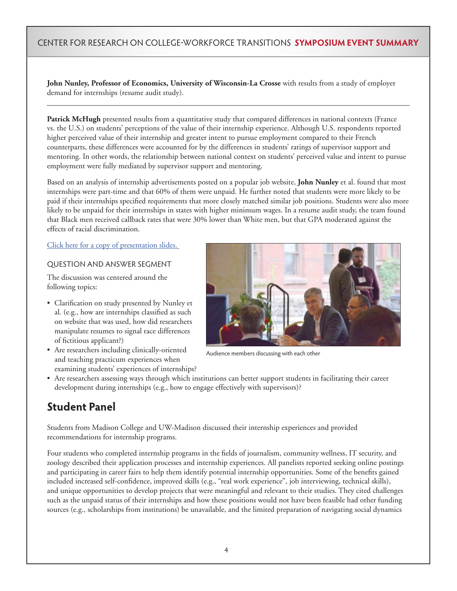**John Nunley, Professor of Economics, University of Wisconsin-La Crosse** with results from a study of employer demand for internships (resume audit study).

Patrick McHugh presented results from a quantitative study that compared differences in national contexts (France vs. the U.S.) on students' perceptions of the value of their internship experience. Although U.S. respondents reported higher perceived value of their internship and greater intent to pursue employment compared to their French counterparts, these differences were accounted for by the differences in students' ratings of supervisor support and mentoring. In other words, the relationship between national context on students' perceived value and intent to pursue employment were fully mediated by supervisor support and mentoring.

Based on an analysis of internship advertisements posted on a popular job website, **John Nunley** et al. found that most internships were part-time and that 60% of them were unpaid. He further noted that students were more likely to be paid if their internships specified requirements that more closely matched similar job positions. Students were also more likely to be unpaid for their internships in states with higher minimum wages. In a resume audit study, the team found that Black men received callback rates that were 30% lower than White men, but that GPA moderated against the effects of racial discrimination.

[Click here for a copy of presentation slides.](https://www.slideshare.net/MatthewHora/1st-annual-symposium-college-internship-research-uwmadison?qid=474729a7-9794-44a9-8698-f69aad46e47e&v=&b=&from_search=1) 

#### QUESTION AND ANSWER SEGMENT

The discussion was centered around the following topics:

- Clarification on study presented by Nunley et al. (e.g., how are internships classified as such on website that was used, how did researchers manipulate resumes to signal race differences of fictitious applicant?)
- Are researchers including clinically-oriented and teaching practicum experiences when examining students' experiences of internships?



Audience members discussing with each other

• Are researchers assessing ways through which institutions can better support students in facilitating their career development during internships (e.g., how to engage effectively with supervisors)?

# **Student Panel**

Students from Madison College and UW-Madison discussed their internship experiences and provided recommendations for internship programs.

Four students who completed internship programs in the fields of journalism, community wellness, IT security, and zoology described their application processes and internship experiences. All panelists reported seeking online postings and participating in career fairs to help them identify potential internship opportunities. Some of the benefits gained included increased self-confidence, improved skills (e.g., "real work experience", job interviewing, technical skills), and unique opportunities to develop projects that were meaningful and relevant to their studies. They cited challenges such as the unpaid status of their internships and how these positions would not have been feasible had other funding sources (e.g., scholarships from institutions) be unavailable, and the limited preparation of navigating social dynamics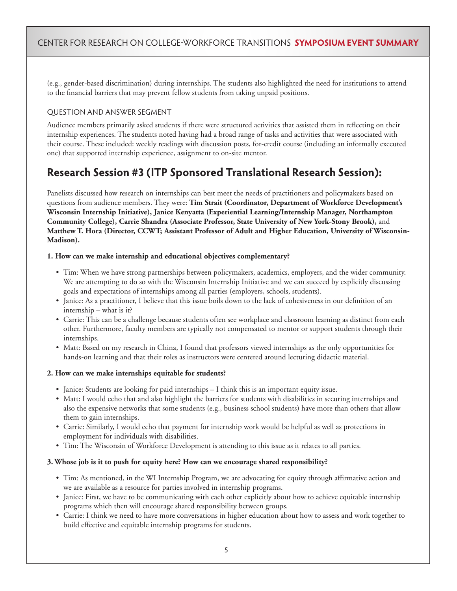(e.g., gender-based discrimination) during internships. The students also highlighted the need for institutions to attend to the financial barriers that may prevent fellow students from taking unpaid positions.

#### QUESTION AND ANSWER SEGMENT

Audience members primarily asked students if there were structured activities that assisted them in reflecting on their internship experiences. The students noted having had a broad range of tasks and activities that were associated with their course. These included: weekly readings with discussion posts, for-credit course (including an informally executed one) that supported internship experience, assignment to on-site mentor.

# **Research Session #3 (ITP Sponsored Translational Research Session):**

Panelists discussed how research on internships can best meet the needs of practitioners and policymakers based on questions from audience members. They were: **Tim Strait (Coordinator, Department of Workforce Development's Wisconsin Internship Initiative), Janice Kenyatta (Experiential Learning/Internship Manager, Northampton Community College), Carrie Shandra (Associate Professor, State University of New York-Stony Brook),** and **Matthew T. Hora (Director, CCWT; Assistant Professor of Adult and Higher Education, University of Wisconsin-Madison).** 

#### **1. How can we make internship and educational objectives complementary?**

- Tim: When we have strong partnerships between policymakers, academics, employers, and the wider community. We are attempting to do so with the Wisconsin Internship Initiative and we can succeed by explicitly discussing goals and expectations of internships among all parties (employers, schools, students).
- Janice: As a practitioner, I believe that this issue boils down to the lack of cohesiveness in our definition of an internship – what is it?
- Carrie: This can be a challenge because students often see workplace and classroom learning as distinct from each other. Furthermore, faculty members are typically not compensated to mentor or support students through their internships.
- Matt: Based on my research in China, I found that professors viewed internships as the only opportunities for hands-on learning and that their roles as instructors were centered around lecturing didactic material.

#### **2. How can we make internships equitable for students?**

- Janice: Students are looking for paid internships I think this is an important equity issue.
- Matt: I would echo that and also highlight the barriers for students with disabilities in securing internships and also the expensive networks that some students (e.g., business school students) have more than others that allow them to gain internships.
- Carrie: Similarly, I would echo that payment for internship work would be helpful as well as protections in employment for individuals with disabilities.
- Tim: The Wisconsin of Workforce Development is attending to this issue as it relates to all parties.

#### **3. Whose job is it to push for equity here? How can we encourage shared responsibility?**

- Tim: As mentioned, in the WI Internship Program, we are advocating for equity through affirmative action and we are available as a resource for parties involved in internship programs.
- Janice: First, we have to be communicating with each other explicitly about how to achieve equitable internship programs which then will encourage shared responsibility between groups.
- Carrie: I think we need to have more conversations in higher education about how to assess and work together to build effective and equitable internship programs for students.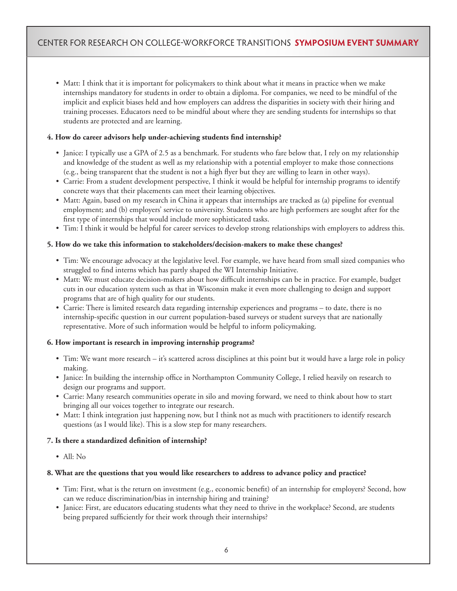• Matt: I think that it is important for policymakers to think about what it means in practice when we make internships mandatory for students in order to obtain a diploma. For companies, we need to be mindful of the implicit and explicit biases held and how employers can address the disparities in society with their hiring and training processes. Educators need to be mindful about where they are sending students for internships so that students are protected and are learning.

#### **4. How do career advisors help under-achieving students find internship?**

- Janice: I typically use a GPA of 2.5 as a benchmark. For students who fare below that, I rely on my relationship and knowledge of the student as well as my relationship with a potential employer to make those connections (e.g., being transparent that the student is not a high flyer but they are willing to learn in other ways).
- Carrie: From a student development perspective, I think it would be helpful for internship programs to identify concrete ways that their placements can meet their learning objectives.
- Matt: Again, based on my research in China it appears that internships are tracked as (a) pipeline for eventual employment; and (b) employers' service to university. Students who are high performers are sought after for the first type of internships that would include more sophisticated tasks.
- Tim: I think it would be helpful for career services to develop strong relationships with employers to address this.

#### **5. How do we take this information to stakeholders/decision-makers to make these changes?**

- Tim: We encourage advocacy at the legislative level. For example, we have heard from small sized companies who struggled to find interns which has partly shaped the WI Internship Initiative.
- Matt: We must educate decision-makers about how difficult internships can be in practice. For example, budget cuts in our education system such as that in Wisconsin make it even more challenging to design and support programs that are of high quality for our students.
- Carrie: There is limited research data regarding internship experiences and programs to date, there is no internship-specific question in our current population-based surveys or student surveys that are nationally representative. More of such information would be helpful to inform policymaking.

#### **6. How important is research in improving internship programs?**

- Tim: We want more research it's scattered across disciplines at this point but it would have a large role in policy making.
- Janice: In building the internship office in Northampton Community College, I relied heavily on research to design our programs and support.
- Carrie: Many research communities operate in silo and moving forward, we need to think about how to start bringing all our voices together to integrate our research.
- Matt: I think integration just happening now, but I think not as much with practitioners to identify research questions (as I would like). This is a slow step for many researchers.

#### **7. Is there a standardized definition of internship?**

• All: No

#### **8. What are the questions that you would like researchers to address to advance policy and practice?**

- Tim: First, what is the return on investment (e.g., economic benefit) of an internship for employers? Second, how can we reduce discrimination/bias in internship hiring and training?
- Janice: First, are educators educating students what they need to thrive in the workplace? Second, are students being prepared sufficiently for their work through their internships?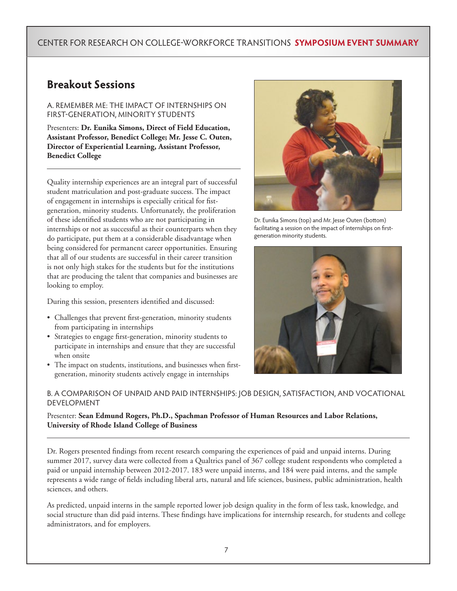# **Breakout Sessions**

A. REMEMBER ME: THE IMPACT OF INTERNSHIPS ON FIRST-GENERATION, MINORITY STUDENTS

Presenters: **Dr. Eunika Simons, Direct of Field Education, Assistant Professor, Benedict College; Mr. Jesse C. Outen, Director of Experiential Learning, Assistant Professor, Benedict College**

Quality internship experiences are an integral part of successful student matriculation and post-graduate success. The impact of engagement in internships is especially critical for fistgeneration, minority students. Unfortunately, the proliferation of these identified students who are not participating in internships or not as successful as their counterparts when they do participate, put them at a considerable disadvantage when being considered for permanent career opportunities. Ensuring that all of our students are successful in their career transition is not only high stakes for the students but for the institutions that are producing the talent that companies and businesses are looking to employ.

During this session, presenters identified and discussed:

- Challenges that prevent first-generation, minority students from participating in internships
- Strategies to engage first-generation, minority students to participate in internships and ensure that they are successful when onsite
- The impact on students, institutions, and businesses when firstgeneration, minority students actively engage in internships



Dr. Eunika Simons (top) and Mr. Jesse Outen (bottom) facilitating a session on the impact of internships on firstgeneration minority students.



#### B. A COMPARISON OF UNPAID AND PAID INTERNSHIPS: JOB DESIGN, SATISFACTION, AND VOCATIONAL DEVELOPMENT

#### Presenter: **Sean Edmund Rogers, Ph.D., Spachman Professor of Human Resources and Labor Relations, University of Rhode Island College of Business**

Dr. Rogers presented findings from recent research comparing the experiences of paid and unpaid interns. During summer 2017, survey data were collected from a Qualtrics panel of 367 college student respondents who completed a paid or unpaid internship between 2012-2017. 183 were unpaid interns, and 184 were paid interns, and the sample represents a wide range of fields including liberal arts, natural and life sciences, business, public administration, health sciences, and others.

As predicted, unpaid interns in the sample reported lower job design quality in the form of less task, knowledge, and social structure than did paid interns. These findings have implications for internship research, for students and college administrators, and for employers.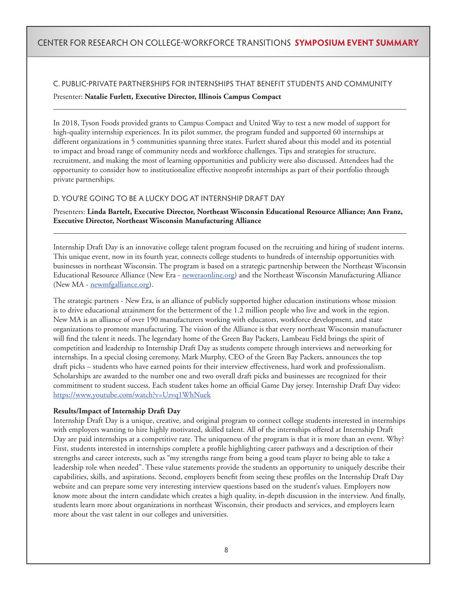### C. PUBLIC-PRIVATE PARTNERSHIPS FOR INTERNSHIPS THAT BENEFIT STUDENTS AND COMMUNITY Presenter: **Natalie Furlett, Executive Director, Illinois Campus Compact**

In 2018, Tyson Foods provided grants to Campus Compact and United Way to test a new model of support for high-quality internship experiences. In its pilot summer, the program funded and supported 60 internships at different organizations in 5 communities spanning three states. Furlett shared about this model and its potential to impact and broad range of community needs and workforce challenges. Tips and strategies for structure, recruitment, and making the most of learning opportunities and publicity were also discussed. Attendees had the opportunity to consider how to institutionalize effective nonprofit internships as part of their portfolio through private partnerships.

#### D. YOU'RE GOING TO BE A LUCKY DOG AT INTERNSHIP DRAFT DAY

Presenters: **Linda Bartelt, Executive Director, Northeast Wisconsin Educational Resource Alliance; Ann Franz, Executive Director, Northeast Wisconsin Manufacturing Alliance**

Internship Draft Day is an innovative college talent program focused on the recruiting and hiring of student interns. This unique event, now in its fourth year, connects college students to hundreds of internship opportunities with businesses in northeast Wisconsin. The program is based on a strategic partnership between the Northeast Wisconsin Educational Resource Alliance (New Era - [neweraonline.org](http://neweraonline.org)) and the Northeast Wisconsin Manufacturing Alliance (New MA - [newmfgalliance.org\)](http://newmfgalliance.org).

The strategic partners - New Era, is an alliance of publicly supported higher education institutions whose mission is to drive educational attainment for the betterment of the 1.2 million people who live and work in the region. New MA is an alliance of over 190 manufacturers working with educators, workforce development, and state organizations to promote manufacturing. The vision of the Alliance is that every northeast Wisconsin manufacturer will find the talent it needs. The legendary home of the Green Bay Packers, Lambeau Field brings the spirit of competition and leadership to Internship Draft Day as students compete through interviews and networking for internships. In a special closing ceremony, Mark Murphy, CEO of the Green Bay Packers, announces the top draft picks – students who have earned points for their interview effectiveness, hard work and professionalism. Scholarships are awarded to the number one and two overall draft picks and businesses are recognized for their commitment to student success. Each student takes home an official Game Day jersey. Internship Draft Day video: <https://www.youtube.com/watch?v=Uzvq1WhNuek>

#### **Results/Impact of Internship Draft Day**

Internship Draft Day is a unique, creative, and original program to connect college students interested in internships with employers wanting to hire highly motivated, skilled talent. All of the internships offered at Internship Draft Day are paid internships at a competitive rate. The uniqueness of the program is that it is more than an event. Why? First, students interested in internships complete a profile highlighting career pathways and a description of their strengths and career interests, such as "my strengths range from being a good team player to being able to take a leadership role when needed". These value statements provide the students an opportunity to uniquely describe their capabilities, skills, and aspirations. Second, employers benefit from seeing these profiles on the Internship Draft Day website and can prepare some very interesting interview questions based on the student's values. Employers now know more about the intern candidate which creates a high quality, in-depth discussion in the interview. And finally, students learn more about organizations in northeast Wisconsin, their products and services, and employers learn more about the vast talent in our colleges and universities.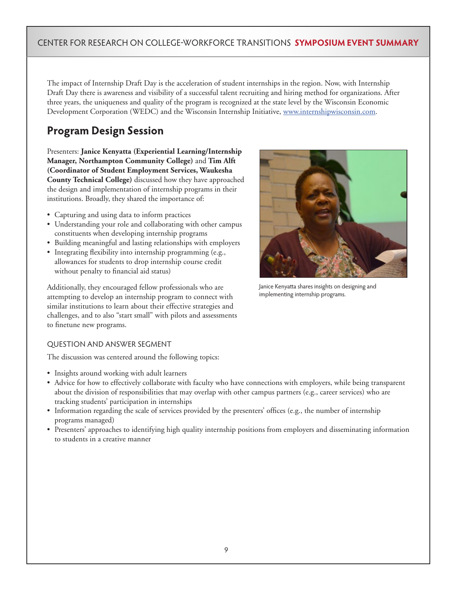The impact of Internship Draft Day is the acceleration of student internships in the region. Now, with Internship Draft Day there is awareness and visibility of a successful talent recruiting and hiring method for organizations. After three years, the uniqueness and quality of the program is recognized at the state level by the Wisconsin Economic Development Corporation (WEDC) and the Wisconsin Internship Initiative, [www.internshipwisconsin.com](https://www.internshipwisconsin.com/).

# **Program Design Session**

Presenters: **Janice Kenyatta (Experiential Learning/Internship Manager, Northampton Community College)** and **Tim Alft (Coordinator of Student Employment Services, Waukesha County Technical College)** discussed how they have approached the design and implementation of internship programs in their institutions. Broadly, they shared the importance of:

- Capturing and using data to inform practices
- Understanding your role and collaborating with other campus constituents when developing internship programs
- Building meaningful and lasting relationships with employers
- Integrating flexibility into internship programming (e.g., allowances for students to drop internship course credit without penalty to financial aid status)

Additionally, they encouraged fellow professionals who are attempting to develop an internship program to connect with similar institutions to learn about their effective strategies and challenges, and to also "start small" with pilots and assessments to finetune new programs.

#### QUESTION AND ANSWER SEGMENT

The discussion was centered around the following topics:

- Insights around working with adult learners
- Advice for how to effectively collaborate with faculty who have connections with employers, while being transparent about the division of responsibilities that may overlap with other campus partners (e.g., career services) who are tracking students' participation in internships
- Information regarding the scale of services provided by the presenters' offices (e.g., the number of internship programs managed)
- Presenters' approaches to identifying high quality internship positions from employers and disseminating information to students in a creative manner



Janice Kenyatta shares insights on designing and implementing internship programs.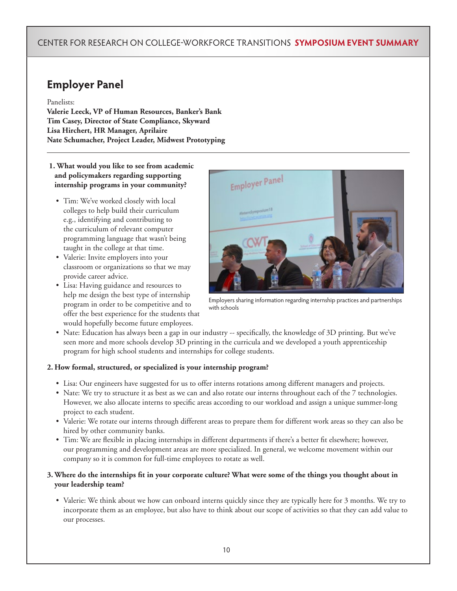# **Employer Panel**

#### Panelists:

**Valerie Leeck, VP of Human Resources, Banker's Bank Tim Casey, Director of State Compliance, Skyward Lisa Hirchert, HR Manager, Aprilaire Nate Schumacher, Project Leader, Midwest Prototyping**

- **1. What would you like to see from academic and policymakers regarding supporting internship programs in your community?**
	- Tim: We've worked closely with local colleges to help build their curriculum e.g., identifying and contributing to the curriculum of relevant computer programming language that wasn't being taught in the college at that time.
	- Valerie: Invite employers into your classroom or organizations so that we may provide career advice.
	- Lisa: Having guidance and resources to help me design the best type of internship program in order to be competitive and to offer the best experience for the students that would hopefully become future employees.



Employers sharing information regarding internship practices and partnerships with schools

• Nate: Education has always been a gap in our industry -- specifically, the knowledge of 3D printing. But we've seen more and more schools develop 3D printing in the curricula and we developed a youth apprenticeship program for high school students and internships for college students.

#### **2. How formal, structured, or specialized is your internship program?**

- Lisa: Our engineers have suggested for us to offer interns rotations among different managers and projects.
- Nate: We try to structure it as best as we can and also rotate our interns throughout each of the 7 technologies. However, we also allocate interns to specific areas according to our workload and assign a unique summer-long project to each student.
- Valerie: We rotate our interns through different areas to prepare them for different work areas so they can also be hired by other community banks.
- Tim: We are flexible in placing internships in different departments if there's a better fit elsewhere; however, our programming and development areas are more specialized. In general, we welcome movement within our company so it is common for full-time employees to rotate as well.

#### **3. Where do the internships fit in your corporate culture? What were some of the things you thought about in your leadership team?**

• Valerie: We think about we how can onboard interns quickly since they are typically here for 3 months. We try to incorporate them as an employee, but also have to think about our scope of activities so that they can add value to our processes.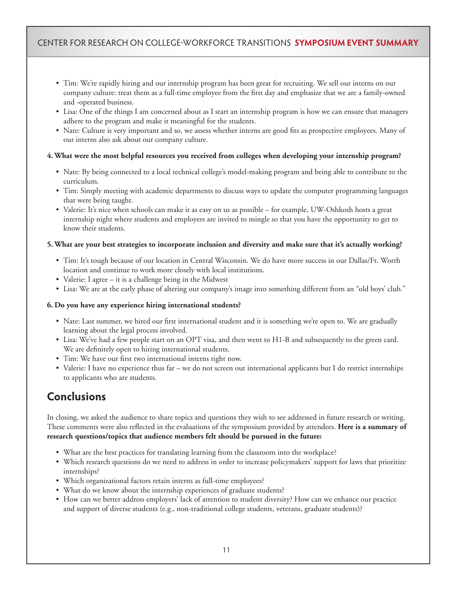- Tim: We're rapidly hiring and our internship program has been great for recruiting. We sell our interns on our company culture: treat them as a full-time employee from the first day and emphasize that we are a family-owned and -operated business.
- Lisa: One of the things I am concerned about as I start an internship program is how we can ensure that managers adhere to the program and make it meaningful for the students.
- Nate: Culture is very important and so, we assess whether interns are good fits as prospective employees. Many of our interns also ask about our company culture.

#### **4. What were the most helpful resources you received from colleges when developing your internship program?**

- Nate: By being connected to a local technical college's model-making program and being able to contribute to the curriculum.
- Tim: Simply meeting with academic departments to discuss ways to update the computer programming languages that were being taught.
- Valerie: It's nice when schools can make it as easy on us as possible for example, UW-Oshkosh hosts a great internship night where students and employers are invited to mingle so that you have the opportunity to get to know their students.

#### **5. What are your best strategies to incorporate inclusion and diversity and make sure that it's actually working?**

- Tim: It's tough because of our location in Central Wisconsin. We do have more success in our Dallas/Ft. Worth location and continue to work more closely with local institutions.
- Valerie: I agree it is a challenge being in the Midwest
- Lisa: We are at the early phase of altering our company's image into something different from an "old boys' club."

#### **6. Do you have any experience hiring international students?**

- Nate: Last summer, we hired our first international student and it is something we're open to. We are gradually learning about the legal process involved.
- Lisa: We've had a few people start on an OPT visa, and then went to H1-B and subsequently to the green card. We are definitely open to hiring international students.
- Tim: We have our first two international interns right now.
- Valerie: I have no experience thus far we do not screen out international applicants but I do restrict internships to applicants who are students.

# **Conclusions**

In closing, we asked the audience to share topics and questions they wish to see addressed in future research or writing. These comments were also reflected in the evaluations of the symposium provided by attendees. **Here is a summary of research questions/topics that audience members felt should be pursued in the future:**

- What are the best practices for translating learning from the classroom into the workplace?
- Which research questions do we need to address in order to increase policymakers' support for laws that prioritize internships?
- Which organizational factors retain interns as full-time employees?
- What do we know about the internship experiences of graduate students?
- How can we better address employers' lack of attention to student diversity? How can we enhance our practice and support of diverse students (e.g., non-traditional college students, veterans, graduate students)?